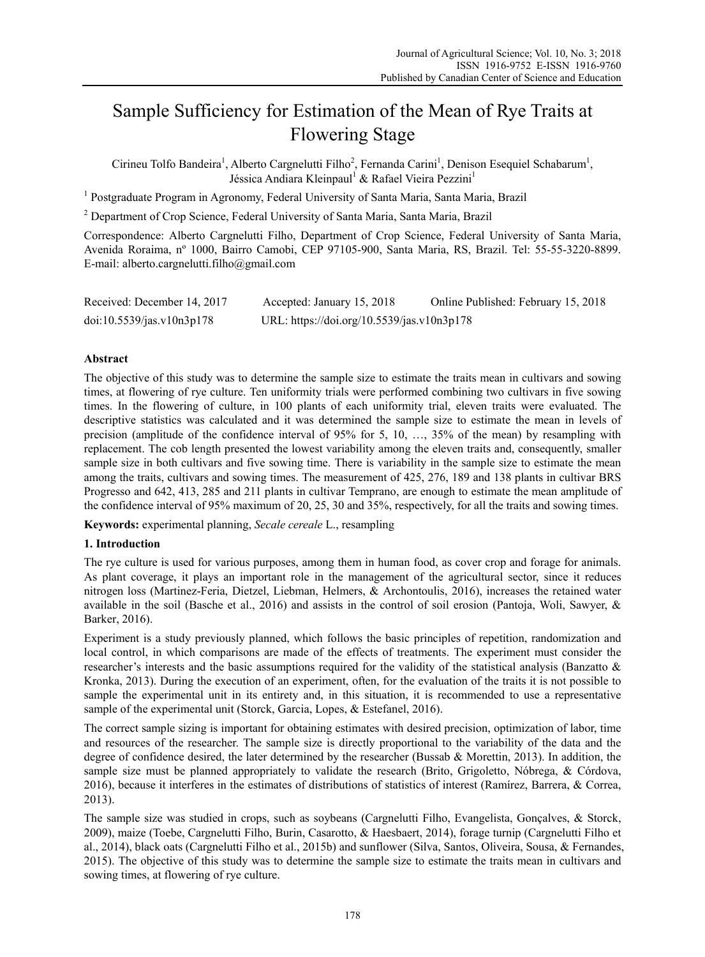# Sample Sufficiency for Estimation of the Mean of Rye Traits at Flowering Stage

Cirineu Tolfo Bandeira<sup>1</sup>, Alberto Cargnelutti Filho<sup>2</sup>, Fernanda Carini<sup>1</sup>, Denison Esequiel Schabarum<sup>1</sup>, Jéssica Andiara Kleinpaul<sup>1</sup> & Rafael Vieira Pezzini<sup>1</sup>

<sup>1</sup> Postgraduate Program in Agronomy, Federal University of Santa Maria, Santa Maria, Brazil

<sup>2</sup> Department of Crop Science, Federal University of Santa Maria, Santa Maria, Brazil

Correspondence: Alberto Cargnelutti Filho, Department of Crop Science, Federal University of Santa Maria, Avenida Roraima, nº 1000, Bairro Camobi, CEP 97105-900, Santa Maria, RS, Brazil. Tel: 55-55-3220-8899. E-mail: alberto.cargnelutti.filho@gmail.com

| Received: December 14, 2017 | Accepted: January 15, 2018                 | Online Published: February 15, 2018 |
|-----------------------------|--------------------------------------------|-------------------------------------|
| doi:10.5539/jas.v10n3p178   | URL: https://doi.org/10.5539/jas.v10n3p178 |                                     |

## **Abstract**

The objective of this study was to determine the sample size to estimate the traits mean in cultivars and sowing times, at flowering of rye culture. Ten uniformity trials were performed combining two cultivars in five sowing times. In the flowering of culture, in 100 plants of each uniformity trial, eleven traits were evaluated. The descriptive statistics was calculated and it was determined the sample size to estimate the mean in levels of precision (amplitude of the confidence interval of 95% for 5, 10, …, 35% of the mean) by resampling with replacement. The cob length presented the lowest variability among the eleven traits and, consequently, smaller sample size in both cultivars and five sowing time. There is variability in the sample size to estimate the mean among the traits, cultivars and sowing times. The measurement of 425, 276, 189 and 138 plants in cultivar BRS Progresso and 642, 413, 285 and 211 plants in cultivar Temprano, are enough to estimate the mean amplitude of the confidence interval of 95% maximum of 20, 25, 30 and 35%, respectively, for all the traits and sowing times.

**Keywords:** experimental planning, *Secale cereale* L., resampling

## **1. Introduction**

The rye culture is used for various purposes, among them in human food, as cover crop and forage for animals. As plant coverage, it plays an important role in the management of the agricultural sector, since it reduces nitrogen loss (Martinez-Feria, Dietzel, Liebman, Helmers, & Archontoulis, 2016), increases the retained water available in the soil (Basche et al., 2016) and assists in the control of soil erosion (Pantoja, Woli, Sawyer, & Barker, 2016).

Experiment is a study previously planned, which follows the basic principles of repetition, randomization and local control, in which comparisons are made of the effects of treatments. The experiment must consider the researcher's interests and the basic assumptions required for the validity of the statistical analysis (Banzatto & Kronka, 2013). During the execution of an experiment, often, for the evaluation of the traits it is not possible to sample the experimental unit in its entirety and, in this situation, it is recommended to use a representative sample of the experimental unit (Storck, Garcia, Lopes, & Estefanel, 2016).

The correct sample sizing is important for obtaining estimates with desired precision, optimization of labor, time and resources of the researcher. The sample size is directly proportional to the variability of the data and the degree of confidence desired, the later determined by the researcher (Bussab & Morettin, 2013). In addition, the sample size must be planned appropriately to validate the research (Brito, Grigoletto, Nóbrega, & Córdova, 2016), because it interferes in the estimates of distributions of statistics of interest (Ramírez, Barrera, & Correa, 2013).

The sample size was studied in crops, such as soybeans (Cargnelutti Filho, Evangelista, Gonçalves, & Storck, 2009), maize (Toebe, Cargnelutti Filho, Burin, Casarotto, & Haesbaert, 2014), forage turnip (Cargnelutti Filho et al., 2014), black oats (Cargnelutti Filho et al., 2015b) and sunflower (Silva, Santos, Oliveira, Sousa, & Fernandes, 2015). The objective of this study was to determine the sample size to estimate the traits mean in cultivars and sowing times, at flowering of rye culture.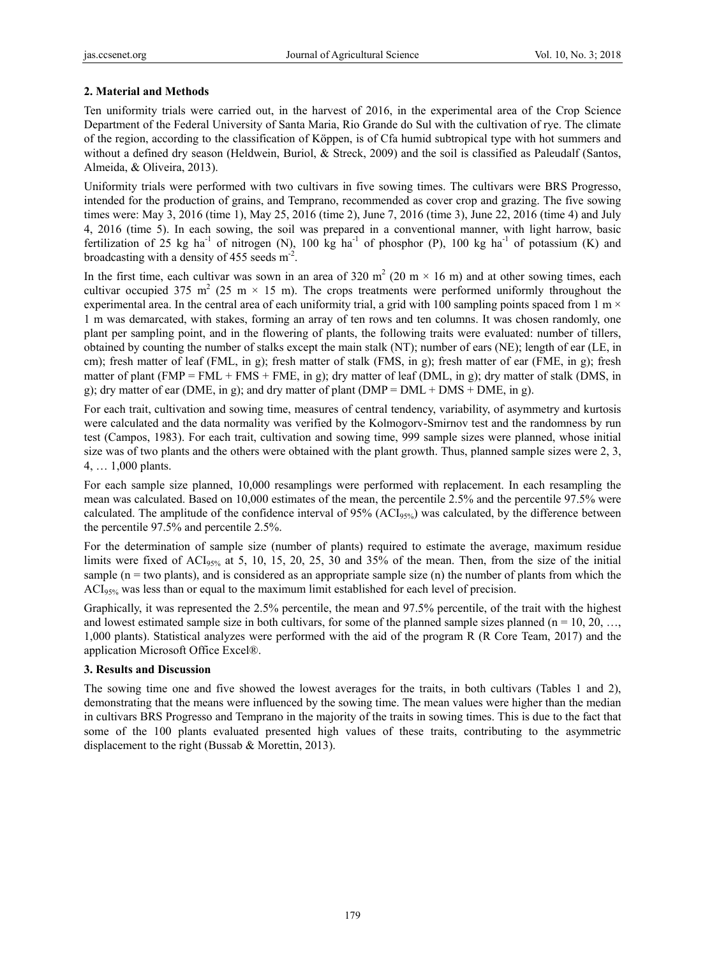## **2. Material and Methods**

Ten uniformity trials were carried out, in the harvest of 2016, in the experimental area of the Crop Science Department of the Federal University of Santa Maria, Rio Grande do Sul with the cultivation of rye. The climate of the region, according to the classification of Köppen, is of Cfa humid subtropical type with hot summers and without a defined dry season (Heldwein, Buriol, & Streck, 2009) and the soil is classified as Paleudalf (Santos, Almeida, & Oliveira, 2013).

Uniformity trials were performed with two cultivars in five sowing times. The cultivars were BRS Progresso, intended for the production of grains, and Temprano, recommended as cover crop and grazing. The five sowing times were: May 3, 2016 (time 1), May 25, 2016 (time 2), June 7, 2016 (time 3), June 22, 2016 (time 4) and July 4, 2016 (time 5). In each sowing, the soil was prepared in a conventional manner, with light harrow, basic fertilization of 25 kg ha<sup>-1</sup> of nitrogen (N), 100 kg ha<sup>-1</sup> of phosphor (P), 100 kg ha<sup>-1</sup> of potassium (K) and broadcasting with a density of 455 seeds m-2.

In the first time, each cultivar was sown in an area of 320 m<sup>2</sup> (20 m  $\times$  16 m) and at other sowing times, each cultivar occupied 375 m<sup>2</sup> (25 m  $\times$  15 m). The crops treatments were performed uniformly throughout the experimental area. In the central area of each uniformity trial, a grid with 100 sampling points spaced from  $1 \text{ m} \times$ 1 m was demarcated, with stakes, forming an array of ten rows and ten columns. It was chosen randomly, one plant per sampling point, and in the flowering of plants, the following traits were evaluated: number of tillers, obtained by counting the number of stalks except the main stalk (NT); number of ears (NE); length of ear (LE, in cm); fresh matter of leaf (FML, in g); fresh matter of stalk (FMS, in g); fresh matter of ear (FME, in g); fresh matter of plant (FMP = FML + FMS + FME, in g); dry matter of leaf (DML, in g); dry matter of stalk (DMS, in g); dry matter of ear (DME, in g); and dry matter of plant (DMP = DML + DMS + DME, in g).

For each trait, cultivation and sowing time, measures of central tendency, variability, of asymmetry and kurtosis were calculated and the data normality was verified by the Kolmogorv-Smirnov test and the randomness by run test (Campos, 1983). For each trait, cultivation and sowing time, 999 sample sizes were planned, whose initial size was of two plants and the others were obtained with the plant growth. Thus, planned sample sizes were 2, 3, 4, … 1,000 plants.

For each sample size planned, 10,000 resamplings were performed with replacement. In each resampling the mean was calculated. Based on 10,000 estimates of the mean, the percentile 2.5% and the percentile 97.5% were calculated. The amplitude of the confidence interval of  $95\%$  (ACI<sub>95%</sub>) was calculated, by the difference between the percentile 97.5% and percentile 2.5%.

For the determination of sample size (number of plants) required to estimate the average, maximum residue limits were fixed of  $ACI_{95\%}$  at 5, 10, 15, 20, 25, 30 and 35% of the mean. Then, from the size of the initial sample ( $n = two$  plants), and is considered as an appropriate sample size ( $n$ ) the number of plants from which the ACI<sub>95%</sub> was less than or equal to the maximum limit established for each level of precision.

Graphically, it was represented the 2.5% percentile, the mean and 97.5% percentile, of the trait with the highest and lowest estimated sample size in both cultivars, for some of the planned sample sizes planned ( $n = 10, 20, \ldots$ ) 1,000 plants). Statistical analyzes were performed with the aid of the program R (R Core Team, 2017) and the application Microsoft Office Excel®.

### **3. Results and Discussion**

The sowing time one and five showed the lowest averages for the traits, in both cultivars (Tables 1 and 2), demonstrating that the means were influenced by the sowing time. The mean values were higher than the median in cultivars BRS Progresso and Temprano in the majority of the traits in sowing times. This is due to the fact that some of the 100 plants evaluated presented high values of these traits, contributing to the asymmetric displacement to the right (Bussab & Morettin, 2013).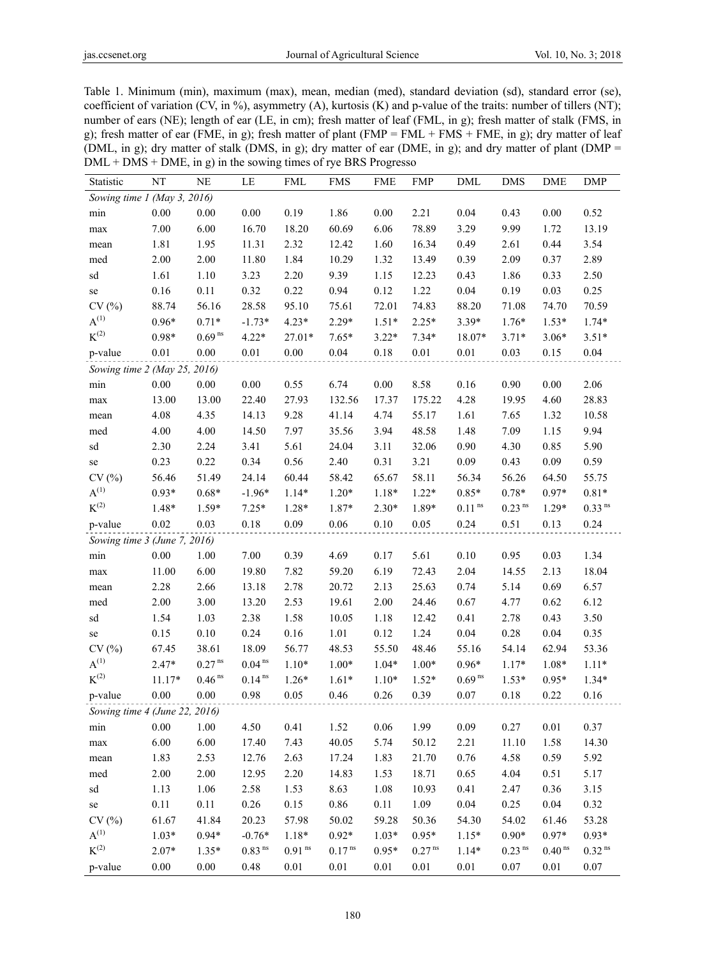| Table 1. Minimum (min), maximum (max), mean, median (med), standard deviation (sd), standard error (se),            |
|---------------------------------------------------------------------------------------------------------------------|
| coefficient of variation (CV, in %), asymmetry (A), kurtosis (K) and p-value of the traits: number of tillers (NT); |
| number of ears (NE); length of ear (LE, in cm); fresh matter of leaf (FML, in g); fresh matter of stalk (FMS, in    |
| g); fresh matter of ear (FME, in g); fresh matter of plant (FMP = FML + FMS + FME, in g); dry matter of leaf        |
| (DML, in g); dry matter of stalk (DMS, in g); dry matter of ear (DME, in g); and dry matter of plant (DMP =         |
| $DML + DMS + DME$ , in g) in the sowing times of rye BRS Progresso                                                  |

| Statistic                     | NT       | <b>NE</b>            | LE                   | FML                  | <b>FMS</b>         | <b>FME</b> | <b>FMP</b>           | DML                  | <b>DMS</b>           | DME                  | <b>DMP</b>         |
|-------------------------------|----------|----------------------|----------------------|----------------------|--------------------|------------|----------------------|----------------------|----------------------|----------------------|--------------------|
| Sowing time 1 (May 3, 2016)   |          |                      |                      |                      |                    |            |                      |                      |                      |                      |                    |
| min                           | 0.00     | $0.00\,$             | $0.00\,$             | 0.19                 | 1.86               | $0.00\,$   | 2.21                 | 0.04                 | 0.43                 | $0.00\,$             | 0.52               |
| max                           | 7.00     | 6.00                 | 16.70                | 18.20                | 60.69              | 6.06       | 78.89                | 3.29                 | 9.99                 | 1.72                 | 13.19              |
| mean                          | 1.81     | 1.95                 | 11.31                | 2.32                 | 12.42              | 1.60       | 16.34                | 0.49                 | 2.61                 | 0.44                 | 3.54               |
| med                           | 2.00     | 2.00                 | 11.80                | 1.84                 | 10.29              | 1.32       | 13.49                | 0.39                 | 2.09                 | 0.37                 | 2.89               |
| sd                            | 1.61     | 1.10                 | 3.23                 | 2.20                 | 9.39               | 1.15       | 12.23                | 0.43                 | 1.86                 | 0.33                 | 2.50               |
| se                            | 0.16     | 0.11                 | 0.32                 | 0.22                 | 0.94               | 0.12       | 1.22                 | 0.04                 | 0.19                 | 0.03                 | 0.25               |
| CV(%)                         | 88.74    | 56.16                | 28.58                | 95.10                | 75.61              | 72.01      | 74.83                | 88.20                | 71.08                | 74.70                | 70.59              |
| $A^{(1)}$                     | $0.96*$  | $0.71*$              | $-1.73*$             | $4.23*$              | $2.29*$            | $1.51*$    | $2.25*$              | $3.39*$              | $1.76*$              | $1.53*$              | $1.74*$            |
| $K^{(2)}$                     | $0.98*$  | 0.69 <sup>ns</sup>   | $4.22*$              | 27.01*               | $7.65*$            | $3.22*$    | $7.34*$              | 18.07*               | $3.71*$              | $3.06*$              | $3.51*$            |
| p-value                       | 0.01     | $0.00\,$             | $0.01\,$             | $0.00\,$             | 0.04               | $0.18\,$   | 0.01                 | $0.01\,$             | 0.03                 | 0.15                 | $0.04\,$           |
| Sowing time 2 (May 25, 2016)  |          |                      |                      |                      |                    |            |                      |                      |                      |                      |                    |
| min                           | $0.00\,$ | $0.00\,$             | $0.00\,$             | 0.55                 | 6.74               | $0.00\,$   | 8.58                 | 0.16                 | 0.90                 | $0.00\,$             | 2.06               |
| max                           | 13.00    | 13.00                | 22.40                | 27.93                | 132.56             | 17.37      | 175.22               | 4.28                 | 19.95                | 4.60                 | 28.83              |
| mean                          | 4.08     | 4.35                 | 14.13                | 9.28                 | 41.14              | 4.74       | 55.17                | 1.61                 | 7.65                 | 1.32                 | 10.58              |
| med                           | 4.00     | 4.00                 | 14.50                | 7.97                 | 35.56              | 3.94       | 48.58                | 1.48                 | 7.09                 | 1.15                 | 9.94               |
| sd                            | 2.30     | 2.24                 | 3.41                 | 5.61                 | 24.04              | 3.11       | 32.06                | 0.90                 | 4.30                 | 0.85                 | 5.90               |
| se                            | 0.23     | 0.22                 | 0.34                 | 0.56                 | 2.40               | 0.31       | 3.21                 | 0.09                 | 0.43                 | 0.09                 | 0.59               |
| CV(%)                         | 56.46    | 51.49                | 24.14                | 60.44                | 58.42              | 65.67      | 58.11                | 56.34                | 56.26                | 64.50                | 55.75              |
| $A^{(1)}$                     | $0.93*$  | $0.68*$              | $-1.96*$             | $1.14*$              | $1.20*$            | $1.18*$    | $1.22*$              | $0.85*$              | $0.78*$              | $0.97*$              | $0.81*$            |
| $K^{(2)}$                     | $1.48*$  | 1.59*                | $7.25*$              | $1.28*$              | 1.87*              | $2.30*$    | 1.89*                | $0.11$ $^{\rm ns}$   | $0.23$ <sup>ns</sup> | $1.29*$              | $0.33$ $^{\rm ns}$ |
| p-value                       | 0.02     | 0.03                 | $0.18\,$             | 0.09                 | $0.06\,$           | 0.10       | 0.05                 | 0.24                 | 0.51                 | 0.13                 | 0.24               |
| Sowing time 3 (June 7, 2016)  |          |                      |                      |                      |                    |            |                      |                      |                      |                      |                    |
| min                           | 0.00     | 1.00                 | 7.00                 | 0.39                 | 4.69               | 0.17       | 5.61                 | $0.10\,$             | 0.95                 | 0.03                 | 1.34               |
| max                           | 11.00    | 6.00                 | 19.80                | 7.82                 | 59.20              | 6.19       | 72.43                | 2.04                 | 14.55                | 2.13                 | 18.04              |
| mean                          | 2.28     | 2.66                 | 13.18                | 2.78                 | 20.72              | 2.13       | 25.63                | 0.74                 | 5.14                 | 0.69                 | 6.57               |
| med                           | 2.00     | 3.00                 | 13.20                | 2.53                 | 19.61              | 2.00       | 24.46                | 0.67                 | 4.77                 | 0.62                 | 6.12               |
| sd                            | 1.54     | 1.03                 | 2.38                 | 1.58                 | 10.05              | 1.18       | 12.42                | 0.41                 | 2.78                 | 0.43                 | 3.50               |
| se                            | 0.15     | $0.10\,$             | 0.24                 | 0.16                 | 1.01               | 0.12       | 1.24                 | 0.04                 | 0.28                 | 0.04                 | 0.35               |
| CV(%)                         | 67.45    | 38.61                | 18.09                | 56.77                | 48.53              | 55.50      | 48.46                | 55.16                | 54.14                | 62.94                | 53.36              |
| $A^{(1)}$                     | $2.47*$  | $0.27$ $^{\rm ns}$   | 0.04 <sup>ns</sup>   | $1.10*$              | $1.00*$            | $1.04*$    | $1.00*$              | $0.96*$              | $1.17*$              | $1.08*$              | $1.11*$            |
| $K^{(2)}$                     | $11.17*$ | $0.46$ <sup>ns</sup> | $0.14^{ns}$          | $1.26*$              | $1.61*$            | $1.10*$    | $1.52*$              | $0.69$ <sup>ns</sup> | $1.53*$              | $0.95*$              | $1.34*$            |
| p-value                       | 0.00     | $0.00\,$             | 0.98                 | 0.05                 | 0.46               | 0.26       | 0.39                 | $0.07\,$             | 0.18                 | 0.22                 | 0.16               |
| Sowing time 4 (June 22, 2016) |          |                      |                      |                      |                    |            |                      |                      |                      |                      |                    |
| min                           | $0.00\,$ | 1.00                 | 4.50                 | 0.41                 | 1.52               | 0.06       | 1.99                 | 0.09                 | 0.27                 | $0.01\,$             | 0.37               |
| $\max$                        | 6.00     | 6.00                 | 17.40                | 7.43                 | 40.05              | 5.74       | 50.12                | 2.21                 | 11.10                | 1.58                 | 14.30              |
| mean                          | 1.83     | 2.53                 | 12.76                | 2.63                 | 17.24              | 1.83       | 21.70                | 0.76                 | 4.58                 | 0.59                 | 5.92               |
| med                           | $2.00\,$ | $2.00\,$             | 12.95                | 2.20                 | 14.83              | 1.53       | 18.71                | 0.65                 | 4.04                 | 0.51                 | 5.17               |
| sd                            | 1.13     | 1.06                 | 2.58                 | 1.53                 | 8.63               | 1.08       | 10.93                | 0.41                 | 2.47                 | 0.36                 | 3.15               |
| se                            | 0.11     | 0.11                 | 0.26                 | 0.15                 | 0.86               | 0.11       | 1.09                 | $0.04\,$             | 0.25                 | 0.04                 | 0.32               |
| CV(%)                         | 61.67    | 41.84                | 20.23                | 57.98                | 50.02              | 59.28      | 50.36                | 54.30                | 54.02                | 61.46                | 53.28              |
| $A^{(1)}$                     | $1.03*$  | $0.94*$              | $-0.76*$             | $1.18*$              | $0.92*$            | $1.03*$    | $0.95*$              | $1.15*$              | $0.90*$              | $0.97*$              | $0.93*$            |
| $K^{(2)}$                     | $2.07*$  | $1.35*$              | $0.83$ <sup>ns</sup> | $0.91$ <sup>ns</sup> | 0.17 <sup>ns</sup> | $0.95*$    | $0.27$ <sup>ns</sup> | $1.14*$              | $0.23$ <sup>ns</sup> | $0.40$ <sup>ns</sup> | $0.32$ $^{\rm ns}$ |
| p-value                       | $0.00\,$ | $0.00\,$             | 0.48                 | $0.01\,$             | 0.01               | $0.01\,$   | 0.01                 | $0.01\,$             | $0.07\,$             | 0.01                 | $0.07\,$           |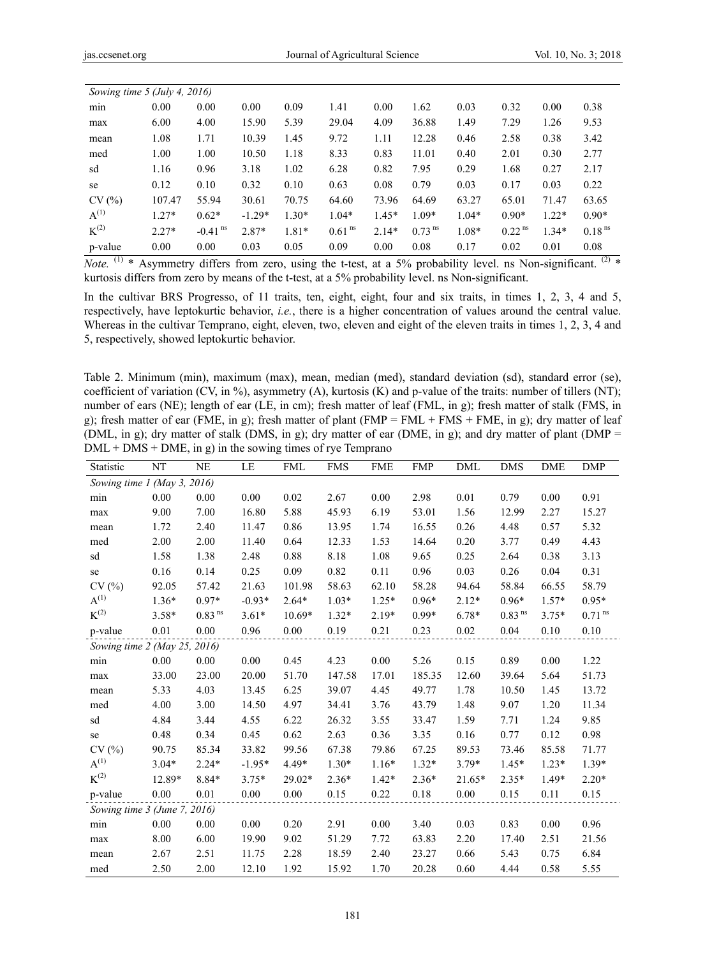| Sowing time $5$ (July 4, 2016) |         |                       |          |         |                      |         |                      |         |                      |         |                    |
|--------------------------------|---------|-----------------------|----------|---------|----------------------|---------|----------------------|---------|----------------------|---------|--------------------|
| min                            | 0.00    | 0.00                  | 0.00     | 0.09    | 1.41                 | 0.00    | 1.62                 | 0.03    | 0.32                 | 0.00    | 0.38               |
| max                            | 6.00    | 4.00                  | 15.90    | 5.39    | 29.04                | 4.09    | 36.88                | 1.49    | 7.29                 | 1.26    | 9.53               |
| mean                           | 1.08    | 1.71                  | 10.39    | 1.45    | 9.72                 | 1.11    | 12.28                | 0.46    | 2.58                 | 0.38    | 3.42               |
| med                            | 1.00    | 1.00                  | 10.50    | 1.18    | 8.33                 | 0.83    | 11.01                | 0.40    | 2.01                 | 0.30    | 2.77               |
| sd                             | 1.16    | 0.96                  | 3.18     | 1.02    | 6.28                 | 0.82    | 7.95                 | 0.29    | 1.68                 | 0.27    | 2.17               |
| se                             | 0.12    | 0.10                  | 0.32     | 0.10    | 0.63                 | 0.08    | 0.79                 | 0.03    | 0.17                 | 0.03    | 0.22               |
| CV(%)                          | 107.47  | 55.94                 | 30.61    | 70.75   | 64.60                | 73.96   | 64.69                | 63.27   | 65.01                | 71.47   | 63.65              |
| $A^{(1)}$                      | $1.27*$ | $0.62*$               | $-1.29*$ | $1.30*$ | $1.04*$              | $1.45*$ | $1.09*$              | $1.04*$ | $0.90*$              | $1.22*$ | $0.90*$            |
| $K^{(2)}$                      | $2.27*$ | $-0.41$ <sup>ns</sup> | $2.87*$  | $1.81*$ | $0.61$ <sup>ns</sup> | $2.14*$ | $0.73$ <sup>ns</sup> | 1.08*   | $0.22$ <sup>ns</sup> | $1.34*$ | 0.18 <sup>ns</sup> |
| p-value                        | 0.00    | 0.00                  | 0.03     | 0.05    | 0.09                 | 0.00    | 0.08                 | 0.17    | 0.02                 | 0.01    | 0.08               |

*Note.* <sup>(1)</sup> \* Asymmetry differs from zero, using the t-test, at a 5% probability level. ns Non-significant. <sup>(2)</sup> \* kurtosis differs from zero by means of the t-test, at a 5% probability level, ns Non-significant.

In the cultivar BRS Progresso, of 11 traits, ten, eight, eight, four and six traits, in times 1, 2, 3, 4 and 5, respectively, have leptokurtic behavior, *i.e.*, there is a higher concentration of values around the central value. Whereas in the cultivar Temprano, eight, eleven, two, eleven and eight of the eleven traits in times 1, 2, 3, 4 and 5, respectively, showed leptokurtic behavior.

Table 2. Minimum (min), maximum (max), mean, median (med), standard deviation (sd), standard error (se), coefficient of variation (CV, in %), asymmetry (A), kurtosis (K) and p-value of the traits: number of tillers (NT); number of ears (NE); length of ear (LE, in cm); fresh matter of leaf (FML, in g); fresh matter of stalk (FMS, in g); fresh matter of ear (FME, in g); fresh matter of plant (FMP = FML + FMS + FME, in g); dry matter of leaf (DML, in g); dry matter of stalk (DMS, in g); dry matter of ear (DME, in g); and dry matter of plant (DMP =  $DML + DMS + DME$ , in g) in the sowing times of rye Temprano

| Statistic                    | NT      | NE                   | LE       | <b>FML</b> | <b>FMS</b> | <b>FME</b> | <b>FMP</b> | DML      | <b>DMS</b>           | DME     | <b>DMP</b>           |
|------------------------------|---------|----------------------|----------|------------|------------|------------|------------|----------|----------------------|---------|----------------------|
| Sowing time 1 (May 3, 2016)  |         |                      |          |            |            |            |            |          |                      |         |                      |
| min                          | 0.00    | 0.00                 | 0.00     | 0.02       | 2.67       | 0.00       | 2.98       | 0.01     | 0.79                 | 0.00    | 0.91                 |
| max                          | 9.00    | 7.00                 | 16.80    | 5.88       | 45.93      | 6.19       | 53.01      | 1.56     | 12.99                | 2.27    | 15.27                |
| mean                         | 1.72    | 2.40                 | 11.47    | 0.86       | 13.95      | 1.74       | 16.55      | 0.26     | 4.48                 | 0.57    | 5.32                 |
| med                          | 2.00    | 2.00                 | 11.40    | 0.64       | 12.33      | 1.53       | 14.64      | 0.20     | 3.77                 | 0.49    | 4.43                 |
| sd                           | 1.58    | 1.38                 | 2.48     | 0.88       | 8.18       | 1.08       | 9.65       | 0.25     | 2.64                 | 0.38    | 3.13                 |
| se                           | 0.16    | 0.14                 | 0.25     | 0.09       | 0.82       | 0.11       | 0.96       | 0.03     | 0.26                 | 0.04    | 0.31                 |
| CV(%)                        | 92.05   | 57.42                | 21.63    | 101.98     | 58.63      | 62.10      | 58.28      | 94.64    | 58.84                | 66.55   | 58.79                |
| $A^{(1)}$                    | $1.36*$ | $0.97*$              | $-0.93*$ | $2.64*$    | $1.03*$    | $1.25*$    | $0.96*$    | $2.12*$  | $0.96*$              | $1.57*$ | $0.95*$              |
| $K^{(2)}$                    | $3.58*$ | $0.83$ <sup>ns</sup> | $3.61*$  | $10.69*$   | $1.32*$    | $2.19*$    | $0.99*$    | $6.78*$  | $0.83$ <sup>ns</sup> | $3.75*$ | $0.71$ <sup>ns</sup> |
| p-value                      | 0.01    | $0.00\,$             | 0.96     | $0.00\,$   | 0.19       | 0.21       | 0.23       | 0.02     | 0.04                 | 0.10    | 0.10                 |
| Sowing time 2 (May 25, 2016) |         |                      |          |            |            |            |            |          |                      |         |                      |
| min                          | 0.00    | 0.00                 | 0.00     | 0.45       | 4.23       | 0.00       | 5.26       | 0.15     | 0.89                 | 0.00    | 1.22                 |
| max                          | 33.00   | 23.00                | 20.00    | 51.70      | 147.58     | 17.01      | 185.35     | 12.60    | 39.64                | 5.64    | 51.73                |
| mean                         | 5.33    | 4.03                 | 13.45    | 6.25       | 39.07      | 4.45       | 49.77      | 1.78     | 10.50                | 1.45    | 13.72                |
| med                          | 4.00    | 3.00                 | 14.50    | 4.97       | 34.41      | 3.76       | 43.79      | 1.48     | 9.07                 | 1.20    | 11.34                |
| sd                           | 4.84    | 3.44                 | 4.55     | 6.22       | 26.32      | 3.55       | 33.47      | 1.59     | 7.71                 | 1.24    | 9.85                 |
| se                           | 0.48    | 0.34                 | 0.45     | 0.62       | 2.63       | 0.36       | 3.35       | 0.16     | 0.77                 | 0.12    | 0.98                 |
| CV(%)                        | 90.75   | 85.34                | 33.82    | 99.56      | 67.38      | 79.86      | 67.25      | 89.53    | 73.46                | 85.58   | 71.77                |
| $A^{(1)}$                    | $3.04*$ | $2.24*$              | $-1.95*$ | $4.49*$    | $1.30*$    | $1.16*$    | $1.32*$    | $3.79*$  | $1.45*$              | $1.23*$ | $1.39*$              |
| $K^{(2)}$                    | 12.89*  | 8.84*                | $3.75*$  | 29.02*     | $2.36*$    | $1.42*$    | $2.36*$    | $21.65*$ | $2.35*$              | $1.49*$ | $2.20*$              |
| p-value                      | 0.00    | 0.01                 | 0.00     | 0.00       | 0.15       | 0.22       | 0.18       | 0.00     | 0.15                 | 0.11    | 0.15                 |
| Sowing time 3 (June 7, 2016) |         |                      |          |            |            |            |            |          |                      |         |                      |
| min                          | 0.00    | 0.00                 | 0.00     | 0.20       | 2.91       | 0.00       | 3.40       | 0.03     | 0.83                 | 0.00    | 0.96                 |
| max                          | 8.00    | 6.00                 | 19.90    | 9.02       | 51.29      | 7.72       | 63.83      | 2.20     | 17.40                | 2.51    | 21.56                |
| mean                         | 2.67    | 2.51                 | 11.75    | 2.28       | 18.59      | 2.40       | 23.27      | 0.66     | 5.43                 | 0.75    | 6.84                 |
| med                          | 2.50    | 2.00                 | 12.10    | 1.92       | 15.92      | 1.70       | 20.28      | 0.60     | 4.44                 | 0.58    | 5.55                 |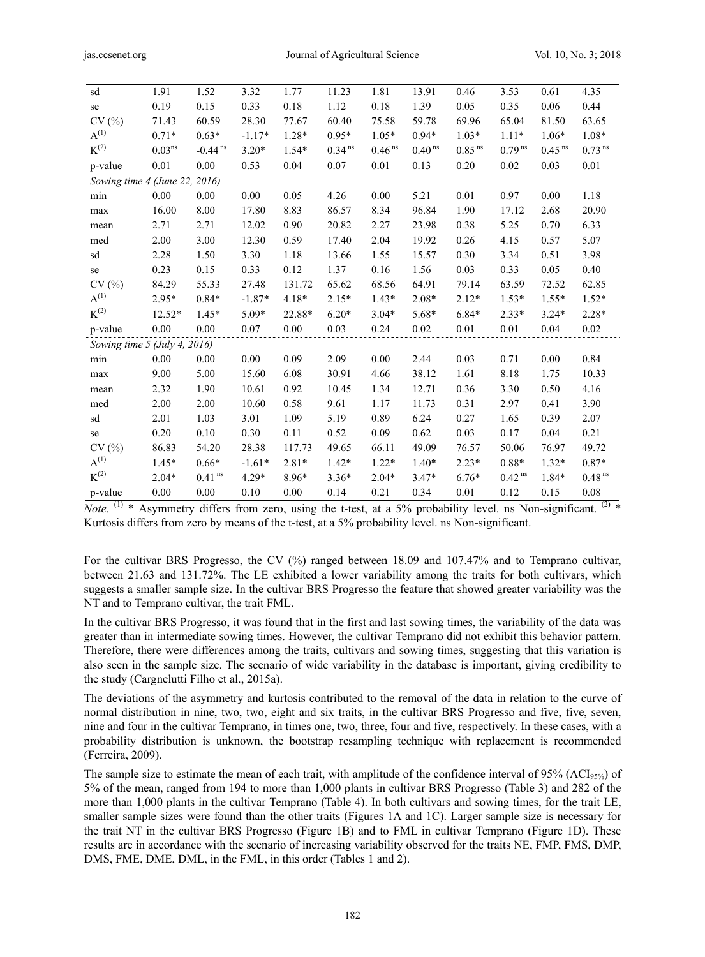| sd                            | 1.91               | 1.52                  | 3.32     | 1.77    | 11.23              | 1.81                 | 13.91              | 0.46                 | 3.53                 | 0.61                 | 4.35                 |
|-------------------------------|--------------------|-----------------------|----------|---------|--------------------|----------------------|--------------------|----------------------|----------------------|----------------------|----------------------|
| se                            | 0.19               | 0.15                  | 0.33     | 0.18    | 1.12               | 0.18                 | 1.39               | 0.05                 | 0.35                 | 0.06                 | 0.44                 |
| CV(%)                         | 71.43              | 60.59                 | 28.30    | 77.67   | 60.40              | 75.58                | 59.78              | 69.96                | 65.04                | 81.50                | 63.65                |
| $A^{(1)}$                     | $0.71*$            | $0.63*$               | $-1.17*$ | $1.28*$ | $0.95*$            | $1.05*$              | $0.94*$            | $1.03*$              | $1.11*$              | $1.06*$              | $1.08*$              |
| $K^{(2)}$                     | 0.03 <sup>ns</sup> | $-0.44$ <sup>ns</sup> | $3.20*$  | $1.54*$ | 0.34 <sup>ns</sup> | $0.46$ <sup>ns</sup> | $0.40$ $^{\rm ns}$ | $0.85$ <sup>ns</sup> | $0.79^{ns}$          | $0.45$ <sup>ns</sup> | $0.73$ <sup>ns</sup> |
| p-value                       | 0.01               | 0.00                  | 0.53     | 0.04    | 0.07               | 0.01                 | 0.13               | 0.20                 | 0.02                 | 0.03                 | 0.01                 |
| Sowing time 4 (June 22, 2016) |                    |                       |          |         |                    |                      |                    |                      |                      |                      |                      |
| min                           | 0.00               | 0.00                  | 0.00     | 0.05    | 4.26               | 0.00                 | 5.21               | 0.01                 | 0.97                 | 0.00                 | 1.18                 |
| max                           | 16.00              | 8.00                  | 17.80    | 8.83    | 86.57              | 8.34                 | 96.84              | 1.90                 | 17.12                | 2.68                 | 20.90                |
| mean                          | 2.71               | 2.71                  | 12.02    | 0.90    | 20.82              | 2.27                 | 23.98              | 0.38                 | 5.25                 | 0.70                 | 6.33                 |
| med                           | 2.00               | 3.00                  | 12.30    | 0.59    | 17.40              | 2.04                 | 19.92              | 0.26                 | 4.15                 | 0.57                 | 5.07                 |
| sd                            | 2.28               | 1.50                  | 3.30     | 1.18    | 13.66              | 1.55                 | 15.57              | 0.30                 | 3.34                 | 0.51                 | 3.98                 |
| se                            | 0.23               | 0.15                  | 0.33     | 0.12    | 1.37               | 0.16                 | 1.56               | 0.03                 | 0.33                 | 0.05                 | 0.40                 |
| CV(%)                         | 84.29              | 55.33                 | 27.48    | 131.72  | 65.62              | 68.56                | 64.91              | 79.14                | 63.59                | 72.52                | 62.85                |
| $A^{(1)}$                     | $2.95*$            | $0.84*$               | $-1.87*$ | $4.18*$ | $2.15*$            | $1.43*$              | $2.08*$            | $2.12*$              | $1.53*$              | $1.55*$              | $1.52*$              |
| $K^{(2)}$                     | $12.52*$           | $1.45*$               | $5.09*$  | 22.88*  | $6.20*$            | $3.04*$              | $5.68*$            | $6.84*$              | $2.33*$              | $3.24*$              | $2.28*$              |
| p-value                       | 0.00               | 0.00                  | 0.07     | 0.00    | 0.03               | 0.24                 | 0.02               | 0.01                 | 0.01                 | 0.04                 | 0.02                 |
| Sowing time 5 (July 4, 2016)  |                    |                       |          |         |                    |                      |                    |                      |                      |                      |                      |
| min                           | 0.00               | 0.00                  | 0.00     | 0.09    | 2.09               | $0.00\,$             | 2.44               | 0.03                 | 0.71                 | 0.00                 | 0.84                 |
| max                           | 9.00               | 5.00                  | 15.60    | 6.08    | 30.91              | 4.66                 | 38.12              | 1.61                 | 8.18                 | 1.75                 | 10.33                |
| mean                          | 2.32               | 1.90                  | 10.61    | 0.92    | 10.45              | 1.34                 | 12.71              | 0.36                 | 3.30                 | 0.50                 | 4.16                 |
| med                           | 2.00               | 2.00                  | 10.60    | 0.58    | 9.61               | 1.17                 | 11.73              | 0.31                 | 2.97                 | 0.41                 | 3.90                 |
| sd                            | 2.01               | 1.03                  | 3.01     | 1.09    | 5.19               | 0.89                 | 6.24               | 0.27                 | 1.65                 | 0.39                 | 2.07                 |
| se                            | 0.20               | $0.10\,$              | 0.30     | 0.11    | 0.52               | 0.09                 | 0.62               | 0.03                 | 0.17                 | 0.04                 | 0.21                 |
| CV(%)                         | 86.83              | 54.20                 | 28.38    | 117.73  | 49.65              | 66.11                | 49.09              | 76.57                | 50.06                | 76.97                | 49.72                |
| $A^{(1)}$                     | $1.45*$            | $0.66*$               | $-1.61*$ | $2.81*$ | $1.42*$            | $1.22*$              | $1.40*$            | $2.23*$              | $0.88*$              | $1.32*$              | $0.87*$              |
| $K^{(2)}$                     | $2.04*$            | $0.41$ <sup>ns</sup>  | $4.29*$  | $8.96*$ | $3.36*$            | $2.04*$              | $3.47*$            | $6.76*$              | $0.42$ <sup>ns</sup> | 1.84*                | $0.48$ <sup>ns</sup> |
| p-value                       | $0.00\,$           | 0.00                  | 0.10     | 0.00    | 0.14               | 0.21                 | 0.34               | $0.01\,$             | 0.12                 | 0.15                 | 0.08                 |

*Note.* (1) \* Asymmetry differs from zero, using the t-test, at a 5% probability level. ns Non-significant. (2) \* Kurtosis differs from zero by means of the t-test, at a 5% probability level, ns Non-significant.

For the cultivar BRS Progresso, the CV (%) ranged between 18.09 and 107.47% and to Temprano cultivar, between 21.63 and 131.72%. The LE exhibited a lower variability among the traits for both cultivars, which suggests a smaller sample size. In the cultivar BRS Progresso the feature that showed greater variability was the NT and to Temprano cultivar, the trait FML.

In the cultivar BRS Progresso, it was found that in the first and last sowing times, the variability of the data was greater than in intermediate sowing times. However, the cultivar Temprano did not exhibit this behavior pattern. Therefore, there were differences among the traits, cultivars and sowing times, suggesting that this variation is also seen in the sample size. The scenario of wide variability in the database is important, giving credibility to the study (Cargnelutti Filho et al., 2015a).

The deviations of the asymmetry and kurtosis contributed to the removal of the data in relation to the curve of normal distribution in nine, two, two, eight and six traits, in the cultivar BRS Progresso and five, five, seven, nine and four in the cultivar Temprano, in times one, two, three, four and five, respectively. In these cases, with a probability distribution is unknown, the bootstrap resampling technique with replacement is recommended (Ferreira, 2009).

The sample size to estimate the mean of each trait, with amplitude of the confidence interval of 95% (ACI<sub>95%</sub>) of 5% of the mean, ranged from 194 to more than 1,000 plants in cultivar BRS Progresso (Table 3) and 282 of the more than 1,000 plants in the cultivar Temprano (Table 4). In both cultivars and sowing times, for the trait LE, smaller sample sizes were found than the other traits (Figures 1A and 1C). Larger sample size is necessary for the trait NT in the cultivar BRS Progresso (Figure 1B) and to FML in cultivar Temprano (Figure 1D). These results are in accordance with the scenario of increasing variability observed for the traits NE, FMP, FMS, DMP, DMS, FME, DME, DML, in the FML, in this order (Tables 1 and 2).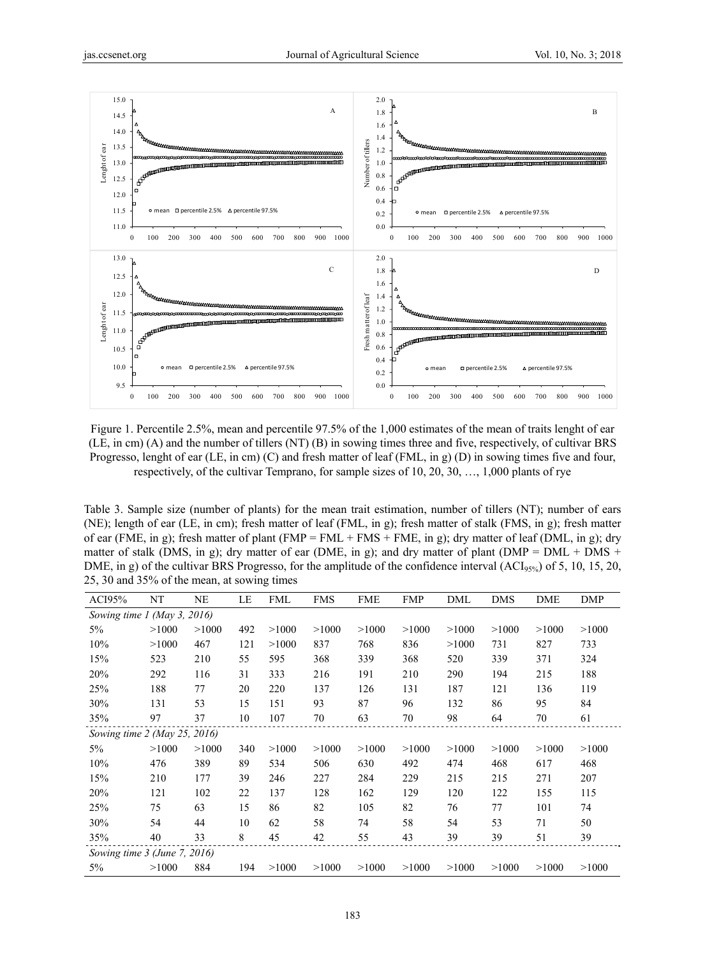

Figure 1. Percentile 2.5%, mean and percentile 97.5% of the 1,000 estimates of the mean of traits lenght of ear (LE, in cm) (A) and the number of tillers (NT) (B) in sowing times three and five, respectively, of cultivar BRS Progresso, lenght of ear (LE, in cm) (C) and fresh matter of leaf (FML, in g) (D) in sowing times five and four, respectively, of the cultivar Temprano, for sample sizes of 10, 20, 30, …, 1,000 plants of rye

Table 3. Sample size (number of plants) for the mean trait estimation, number of tillers (NT); number of ears (NE); length of ear (LE, in cm); fresh matter of leaf (FML, in g); fresh matter of stalk (FMS, in g); fresh matter of ear (FME, in g); fresh matter of plant (FMP = FML + FMS + FME, in g); dry matter of leaf (DML, in g); dry matter of stalk (DMS, in g); dry matter of ear (DME, in g); and dry matter of plant (DMP = DML + DMS + DME, in g) of the cultivar BRS Progresso, for the amplitude of the confidence interval (ACI<sub>95%</sub>) of 5, 10, 15, 20, 25, 30 and 35% of the mean, at sowing times

| ACI95%                        | NΤ    | NE    | LE  | <b>FML</b> | <b>FMS</b> | <b>FME</b> | <b>FMP</b> | DML   | DMS   | DME   | DMP   |
|-------------------------------|-------|-------|-----|------------|------------|------------|------------|-------|-------|-------|-------|
| Sowing time $1$ (May 3, 2016) |       |       |     |            |            |            |            |       |       |       |       |
| 5%                            | >1000 | >1000 | 492 | >1000      | >1000      | >1000      | >1000      | >1000 | >1000 | >1000 | >1000 |
| 10%                           | >1000 | 467   | 121 | >1000      | 837        | 768        | 836        | >1000 | 731   | 827   | 733   |
| 15%                           | 523   | 210   | 55  | 595        | 368        | 339        | 368        | 520   | 339   | 371   | 324   |
| 20%                           | 292   | 116   | 31  | 333        | 216        | 191        | 210        | 290   | 194   | 215   | 188   |
| 25%                           | 188   | 77    | 20  | 220        | 137        | 126        | 131        | 187   | 121   | 136   | 119   |
| 30%                           | 131   | 53    | 15  | 151        | 93         | 87         | 96         | 132   | 86    | 95    | 84    |
| 35%                           | 97    | 37    | 10  | 107        | 70         | 63         | 70         | 98    | 64    | 70    | 61    |
| Sowing time 2 (May 25, 2016)  |       |       |     |            |            |            |            |       |       |       |       |
| 5%                            | >1000 | >1000 | 340 | >1000      | >1000      | >1000      | >1000      | >1000 | >1000 | >1000 | >1000 |
| 10%                           | 476   | 389   | 89  | 534        | 506        | 630        | 492        | 474   | 468   | 617   | 468   |
| 15%                           | 210   | 177   | 39  | 246        | 227        | 284        | 229        | 215   | 215   | 271   | 207   |
| 20%                           | 121   | 102   | 22  | 137        | 128        | 162        | 129        | 120   | 122   | 155   | 115   |
| 25%                           | 75    | 63    | 15  | 86         | 82         | 105        | 82         | 76    | 77    | 101   | 74    |
| 30%                           | 54    | 44    | 10  | 62         | 58         | 74         | 58         | 54    | 53    | 71    | 50    |
| 35%                           | 40    | 33    | 8   | 45         | 42         | 55         | 43         | 39    | 39    | 51    | 39    |
| Sowing time 3 (June 7, 2016)  |       |       |     |            |            |            |            |       |       |       |       |
| 5%                            | >1000 | 884   | 194 | >1000      | >1000      | >1000      | >1000      | >1000 | >1000 | >1000 | >1000 |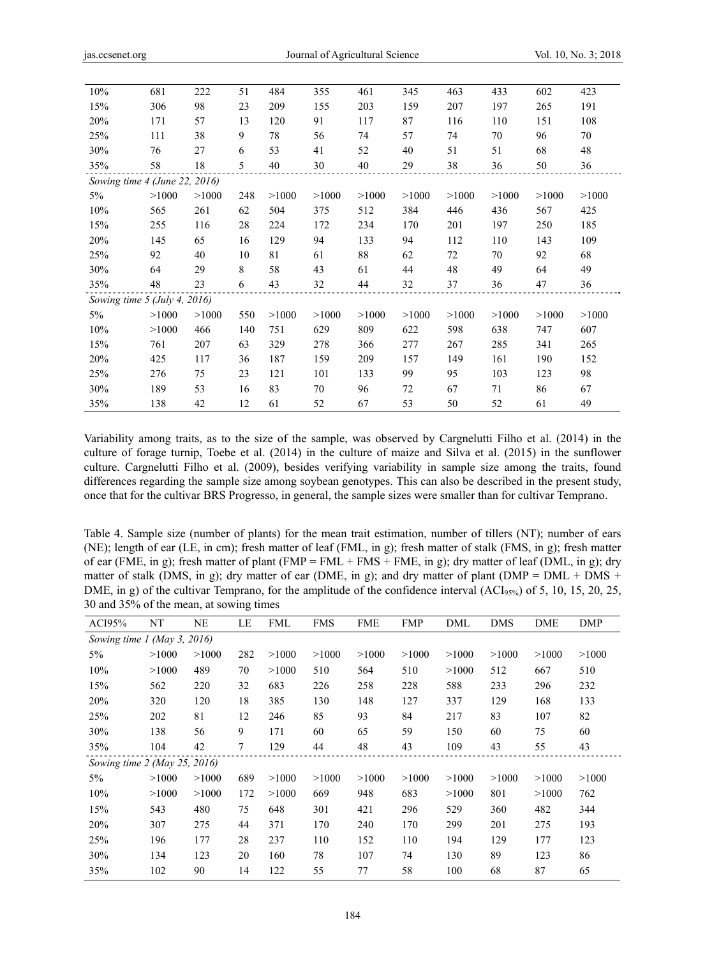| 10%                             | 681   | 222   | 51  | 484   | 355   | 461   | 345   | 463   | 433   | 602   | 423   |
|---------------------------------|-------|-------|-----|-------|-------|-------|-------|-------|-------|-------|-------|
| 15%                             | 306   | 98    | 23  | 209   | 155   | 203   | 159   | 207   | 197   | 265   | 191   |
| 20%                             | 171   | 57    | 13  | 120   | 91    | 117   | 87    | 116   | 110   | 151   | 108   |
| 25%                             | 111   | 38    | 9   | 78    | 56    | 74    | 57    | 74    | 70    | 96    | 70    |
| 30%                             | 76    | 27    | 6   | 53    | 41    | 52    | 40    | 51    | 51    | 68    | 48    |
| 35%                             | 58    | 18    | 5   | 40    | 30    | 40    | 29    | 38    | 36    | 50    | 36    |
| Sowing time $4$ (June 22, 2016) |       |       |     |       |       |       |       |       |       |       |       |
| 5%                              | >1000 | >1000 | 248 | >1000 | >1000 | >1000 | >1000 | >1000 | >1000 | >1000 | >1000 |
| 10%                             | 565   | 261   | 62  | 504   | 375   | 512   | 384   | 446   | 436   | 567   | 425   |
| 15%                             | 255   | 116   | 28  | 224   | 172   | 234   | 170   | 201   | 197   | 250   | 185   |
| 20%                             | 145   | 65    | 16  | 129   | 94    | 133   | 94    | 112   | 110   | 143   | 109   |
| 25%                             | 92    | 40    | 10  | 81    | 61    | 88    | 62    | 72    | 70    | 92    | 68    |
| 30%                             | 64    | 29    | 8   | 58    | 43    | 61    | 44    | 48    | 49    | 64    | 49    |
| 35%                             | 48    | 23    | 6   | 43    | 32    | 44    | 32    | 37    | 36    | 47    | 36    |
| Sowing time $5$ (July 4, 2016)  |       |       |     |       |       |       |       |       |       |       |       |
| 5%                              | >1000 | >1000 | 550 | >1000 | >1000 | >1000 | >1000 | >1000 | >1000 | >1000 | >1000 |
| 10%                             | >1000 | 466   | 140 | 751   | 629   | 809   | 622   | 598   | 638   | 747   | 607   |
| 15%                             | 761   | 207   | 63  | 329   | 278   | 366   | 277   | 267   | 285   | 341   | 265   |
| 20%                             | 425   | 117   | 36  | 187   | 159   | 209   | 157   | 149   | 161   | 190   | 152   |
| 25%                             | 276   | 75    | 23  | 121   | 101   | 133   | 99    | 95    | 103   | 123   | 98    |
| 30%                             | 189   | 53    | 16  | 83    | 70    | 96    | 72    | 67    | 71    | 86    | 67    |
| 35%                             | 138   | 42    | 12  | 61    | 52    | 67    | 53    | 50    | 52    | 61    | 49    |

Variability among traits, as to the size of the sample, was observed by Cargnelutti Filho et al. (2014) in the culture of forage turnip, Toebe et al. (2014) in the culture of maize and Silva et al. (2015) in the sunflower culture. Cargnelutti Filho et al. (2009), besides verifying variability in sample size among the traits, found differences regarding the sample size among soybean genotypes. This can also be described in the present study, once that for the cultivar BRS Progresso, in general, the sample sizes were smaller than for cultivar Temprano.

Table 4. Sample size (number of plants) for the mean trait estimation, number of tillers (NT); number of ears (NE); length of ear (LE, in cm); fresh matter of leaf (FML, in g); fresh matter of stalk (FMS, in g); fresh matter of ear (FME, in g); fresh matter of plant (FMP = FML + FMS + FME, in g); dry matter of leaf (DML, in g); dry matter of stalk (DMS, in g); dry matter of ear (DME, in g); and dry matter of plant (DMP = DML + DMS + DME, in g) of the cultivar Temprano, for the amplitude of the confidence interval  $(ACI_{95%})$  of 5, 10, 15, 20, 25, 30 and 35% of the mean, at sowing times

| ACI95%                        | NT    | NE    | LE  | FML   | <b>FMS</b> | <b>FME</b> | <b>FMP</b> | DML   | DMS   | DME   | DMP   |
|-------------------------------|-------|-------|-----|-------|------------|------------|------------|-------|-------|-------|-------|
| Sowing time $1$ (May 3, 2016) |       |       |     |       |            |            |            |       |       |       |       |
| $5\%$                         | >1000 | >1000 | 282 | >1000 | >1000      | >1000      | >1000      | >1000 | >1000 | >1000 | >1000 |
| 10%                           | >1000 | 489   | 70  | >1000 | 510        | 564        | 510        | >1000 | 512   | 667   | 510   |
| 15%                           | 562   | 220   | 32  | 683   | 226        | 258        | 228        | 588   | 233   | 296   | 232   |
| 20%                           | 320   | 120   | 18  | 385   | 130        | 148        | 127        | 337   | 129   | 168   | 133   |
| 25%                           | 202   | 81    | 12  | 246   | 85         | 93         | 84         | 217   | 83    | 107   | 82    |
| 30%                           | 138   | 56    | 9   | 171   | 60         | 65         | 59         | 150   | 60    | 75    | 60    |
| 35%                           | 104   | 42    | 7   | 129   | 44         | 48         | 43         | 109   | 43    | 55    | 43    |
| Sowing time 2 (May 25, 2016)  |       |       |     |       |            |            |            |       |       |       |       |
| 5%                            | >1000 | >1000 | 689 | >1000 | >1000      | >1000      | >1000      | >1000 | >1000 | >1000 | >1000 |
| 10%                           | >1000 | >1000 | 172 | >1000 | 669        | 948        | 683        | >1000 | 801   | >1000 | 762   |
| 15%                           | 543   | 480   | 75  | 648   | 301        | 421        | 296        | 529   | 360   | 482   | 344   |
| 20%                           | 307   | 275   | 44  | 371   | 170        | 240        | 170        | 299   | 201   | 275   | 193   |
| 25%                           | 196   | 177   | 28  | 237   | 110        | 152        | 110        | 194   | 129   | 177   | 123   |
| 30%                           | 134   | 123   | 20  | 160   | 78         | 107        | 74         | 130   | 89    | 123   | 86    |
| 35%                           | 102   | 90    | 14  | 122   | 55         | 77         | 58         | 100   | 68    | 87    | 65    |

184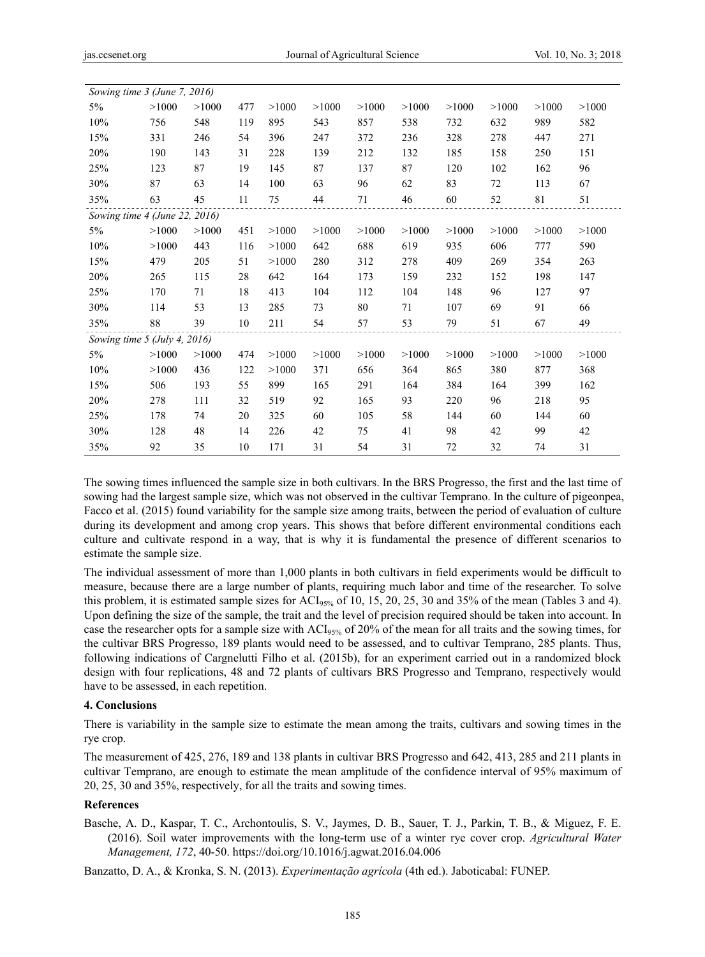| Sowing time $3$ (June 7, 2016) |        |       |        |       |       |        |       |       |       |        |       |
|--------------------------------|--------|-------|--------|-------|-------|--------|-------|-------|-------|--------|-------|
| 5%                             | >1000  | >1000 | 477    | >1000 | >1000 | >1000  | >1000 | >1000 | >1000 | >1000  | >1000 |
| 10%                            | 756    | 548   | 119    | 895   | 543   | 857    | 538   | 732   | 632   | 989    | 582   |
| 15%                            | 331    | 246   | 54     | 396   | 247   | 372    | 236   | 328   | 278   | 447    | 271   |
| 20%                            | 190    | 143   | 31     | 228   | 139   | 212    | 132   | 185   | 158   | 250    | 151   |
| 25%                            | 123    | 87    | 19     | 145   | 87    | 137    | 87    | 120   | 102   | 162    | 96    |
| 30%                            | $87\,$ | 63    | 14     | 100   | 63    | 96     | 62    | 83    | 72    | 113    | 67    |
| 35%                            | 63     | 45    | 11     | 75    | 44    | 71     | 46    | 60    | 52    | $81\,$ | 51    |
| Sowing time 4 (June 22, 2016)  |        |       |        |       |       |        |       |       |       |        |       |
| 5%                             | >1000  | >1000 | 451    | >1000 | >1000 | >1000  | >1000 | >1000 | >1000 | >1000  | >1000 |
| 10%                            | >1000  | 443   | 116    | >1000 | 642   | 688    | 619   | 935   | 606   | 777    | 590   |
| 15%                            | 479    | 205   | 51     | >1000 | 280   | 312    | 278   | 409   | 269   | 354    | 263   |
| 20%                            | 265    | 115   | 28     | 642   | 164   | 173    | 159   | 232   | 152   | 198    | 147   |
| 25%                            | 170    | 71    | 18     | 413   | 104   | 112    | 104   | 148   | 96    | 127    | 97    |
| 30%                            | 114    | 53    | 13     | 285   | 73    | $80\,$ | 71    | 107   | 69    | 91     | 66    |
| 35%                            | $88\,$ | 39    | $10\,$ | 211   | 54    | 57     | 53    | 79    | 51    | 67     | 49    |
| Sowing time 5 (July 4, 2016)   |        |       |        |       |       |        |       |       |       |        |       |
| 5%                             | >1000  | >1000 | 474    | >1000 | >1000 | >1000  | >1000 | >1000 | >1000 | >1000  | >1000 |
| 10%                            | >1000  | 436   | 122    | >1000 | 371   | 656    | 364   | 865   | 380   | 877    | 368   |
| 15%                            | 506    | 193   | 55     | 899   | 165   | 291    | 164   | 384   | 164   | 399    | 162   |
| 20%                            | 278    | 111   | 32     | 519   | 92    | 165    | 93    | 220   | 96    | 218    | 95    |
| 25%                            | 178    | 74    | 20     | 325   | 60    | 105    | 58    | 144   | 60    | 144    | 60    |
| 30%                            | 128    | 48    | 14     | 226   | 42    | 75     | 41    | 98    | 42    | 99     | 42    |
| 35%                            | 92     | 35    | 10     | 171   | 31    | 54     | 31    | 72    | 32    | 74     | 31    |

The sowing times influenced the sample size in both cultivars. In the BRS Progresso, the first and the last time of sowing had the largest sample size, which was not observed in the cultivar Temprano. In the culture of pigeonpea, Facco et al. (2015) found variability for the sample size among traits, between the period of evaluation of culture during its development and among crop years. This shows that before different environmental conditions each culture and cultivate respond in a way, that is why it is fundamental the presence of different scenarios to estimate the sample size.

The individual assessment of more than 1,000 plants in both cultivars in field experiments would be difficult to measure, because there are a large number of plants, requiring much labor and time of the researcher. To solve this problem, it is estimated sample sizes for ACI<sub>95%</sub> of 10, 15, 20, 25, 30 and 35% of the mean (Tables 3 and 4). Upon defining the size of the sample, the trait and the level of precision required should be taken into account. In case the researcher opts for a sample size with ACI<sub>95%</sub> of 20% of the mean for all traits and the sowing times, for the cultivar BRS Progresso, 189 plants would need to be assessed, and to cultivar Temprano, 285 plants. Thus, following indications of Cargnelutti Filho et al. (2015b), for an experiment carried out in a randomized block design with four replications, 48 and 72 plants of cultivars BRS Progresso and Temprano, respectively would have to be assessed, in each repetition.

#### **4. Conclusions**

There is variability in the sample size to estimate the mean among the traits, cultivars and sowing times in the rye crop.

The measurement of 425, 276, 189 and 138 plants in cultivar BRS Progresso and 642, 413, 285 and 211 plants in cultivar Temprano, are enough to estimate the mean amplitude of the confidence interval of 95% maximum of 20, 25, 30 and 35%, respectively, for all the traits and sowing times.

### **References**

Basche, A. D., Kaspar, T. C., Archontoulis, S. V., Jaymes, D. B., Sauer, T. J., Parkin, T. B., & Miguez, F. E. (2016). Soil water improvements with the long-term use of a winter rye cover crop. *Agricultural Water Management, 172*, 40-50. https://doi.org/10.1016/j.agwat.2016.04.006

Banzatto, D. A., & Kronka, S. N. (2013). *Experimentação agrícola* (4th ed.). Jaboticabal: FUNEP.